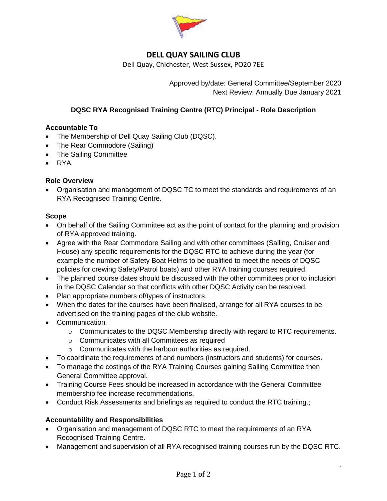

# **DELL QUAY SAILING CLUB**

Dell Quay, Chichester, West Sussex, PO20 7EE

Approved by/date: General Committee/September 2020 Next Review: Annually Due January 2021

## **DQSC RYA Recognised Training Centre (RTC) Principal - Role Description**

## **Accountable To**

- The Membership of Dell Quay Sailing Club (DQSC).
- The Rear Commodore (Sailing)
- The Sailing Committee
- RYA

#### **Role Overview**

• Organisation and management of DQSC TC to meet the standards and requirements of an RYA Recognised Training Centre.

#### **Scope**

- On behalf of the Sailing Committee act as the point of contact for the planning and provision of RYA approved training.
- Agree with the Rear Commodore Sailing and with other committees (Sailing, Cruiser and House) any specific requirements for the DQSC RTC to achieve during the year (for example the number of Safety Boat Helms to be qualified to meet the needs of DQSC policies for crewing Safety/Patrol boats) and other RYA training courses required.
- The planned course dates should be discussed with the other committees prior to inclusion in the DQSC Calendar so that conflicts with other DQSC Activity can be resolved.
- Plan appropriate numbers of/types of instructors.
- When the dates for the courses have been finalised, arrange for all RYA courses to be advertised on the training pages of the club website.
- Communication.
	- $\circ$  Communicates to the DQSC Membership directly with regard to RTC requirements.
	- o Communicates with all Committees as required
	- o Communicates with the harbour authorities as required.
- To coordinate the requirements of and numbers (instructors and students) for courses.
- To manage the costings of the RYA Training Courses gaining Sailing Committee then General Committee approval.
- Training Course Fees should be increased in accordance with the General Committee membership fee increase recommendations.
- Conduct Risk Assessments and briefings as required to conduct the RTC training.;

## **Accountability and Responsibilities**

- Organisation and management of DQSC RTC to meet the requirements of an RYA Recognised Training Centre.
- Management and supervision of all RYA recognised training courses run by the DQSC RTC.

.